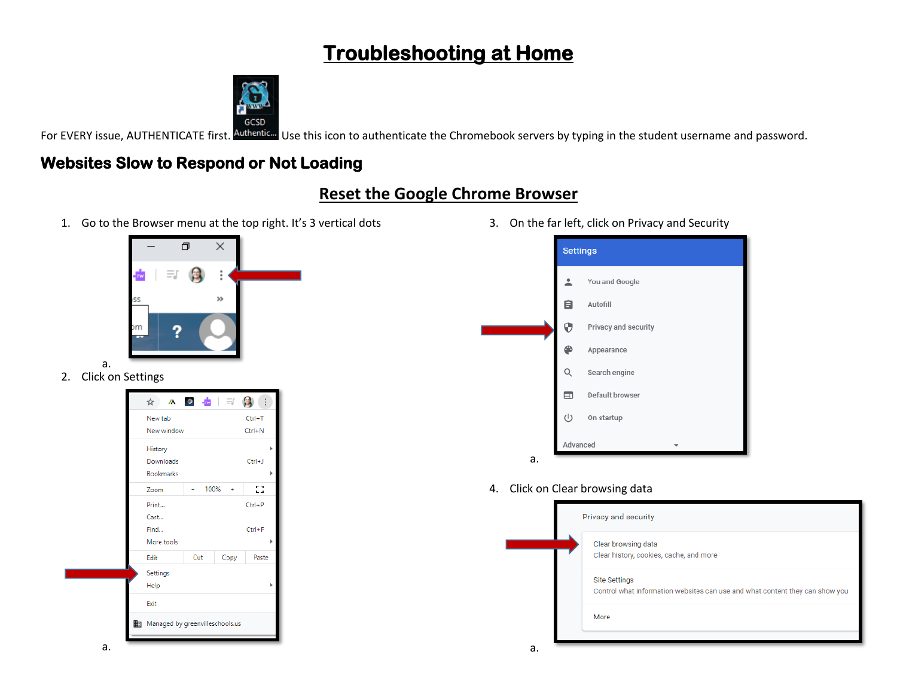# **Troubleshooting at Home**



For EVERY issue, AUTHENTICATE first. Authentic... Use this icon to authenticate the Chromebook servers by typing in the student username and password.

# **Websites Slow to Respond or Not Loading**

## **Reset the Google Chrome Browser**

1. Go to the Browser menu at the top right. It's 3 vertical dots



- a.
- 2. Click on Settings

|   | ☆                               | $\mathbf{M}$ $\bullet$ $\mathbf{N}$ $\equiv$ |      |            |   |
|---|---------------------------------|----------------------------------------------|------|------------|---|
|   | New tab                         |                                              |      | $Ctrl+T$   |   |
|   | New window                      |                                              |      | $Ctrl + N$ |   |
|   | History                         |                                              |      |            |   |
|   | Downloads                       |                                              |      | $Ctrl + J$ |   |
|   | <b>Bookmarks</b>                |                                              |      |            |   |
|   | Zoom                            | 100%                                         |      | 8          |   |
|   | Print                           |                                              |      | $Ctrl + P$ |   |
|   | Cast                            |                                              |      |            |   |
|   | Find                            |                                              |      | $Ctrl + F$ |   |
|   | More tools                      |                                              |      |            |   |
|   | Edit                            | Cut                                          | Copy | Paste      |   |
|   | Settings                        |                                              |      |            |   |
|   | Help                            |                                              |      |            | ь |
|   | Exit                            |                                              |      |            |   |
|   | Managed by greenvilleschools.us |                                              |      |            |   |
| ۰ |                                 |                                              |      |            |   |

3. On the far left, click on Privacy and Security



4. Click on Clear browsing data

| Privacy and security                                                                                 |  |  |  |  |
|------------------------------------------------------------------------------------------------------|--|--|--|--|
| Clear browsing data<br>Clear history, cookies, cache, and more                                       |  |  |  |  |
| <b>Site Settings</b><br>Control what information websites can use and what content they can show you |  |  |  |  |
| More                                                                                                 |  |  |  |  |
|                                                                                                      |  |  |  |  |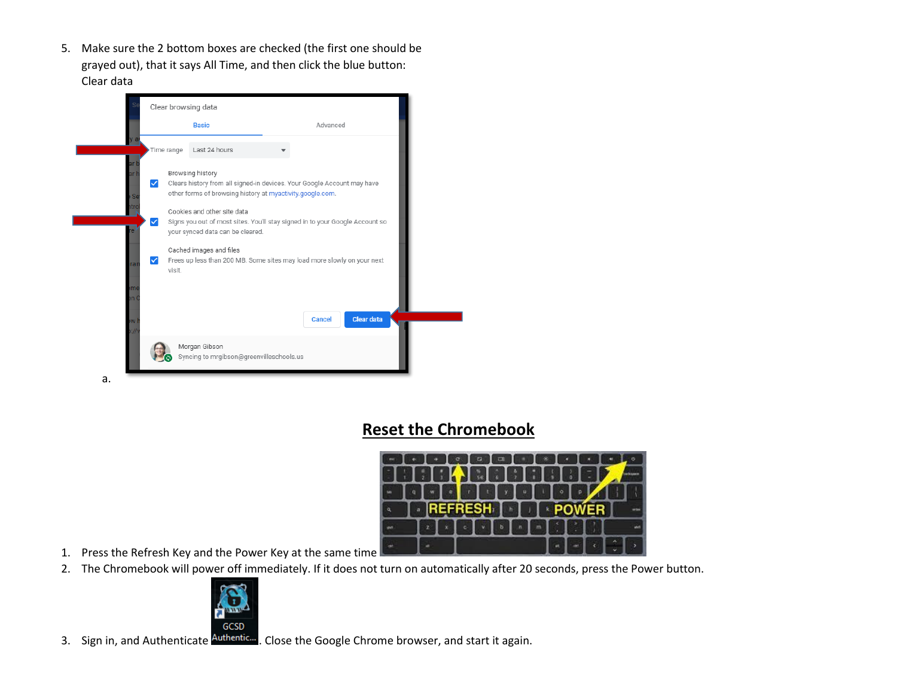5. Make sure the 2 bottom boxes are checked (the first one should be grayed out), that it says All Time, and then click the blue button: Clear data



### **Reset the Chromebook**



- 1. Press the Refresh Key and the Power Key at the same time
- 2. The Chromebook will power off immediately. If it does not turn on automatically after 20 seconds, press the Power button.



3. Sign in, and Authenticate **Authenticm**. Close the Google Chrome browser, and start it again.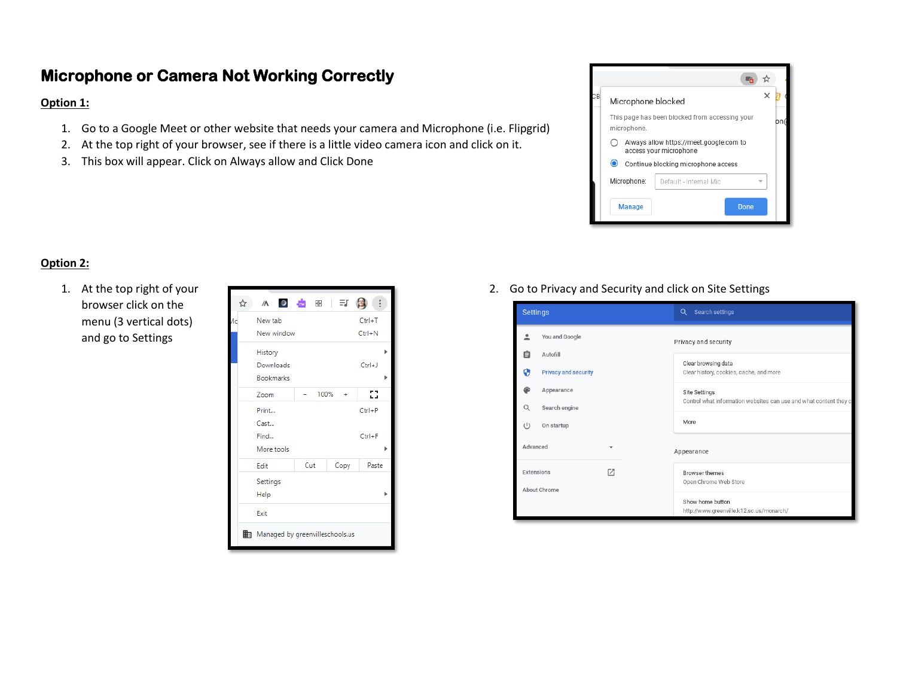### **Microphone or Camera Not Working Correctly**

#### **Option 1:**

- 1. Go to a Google Meet or other website that needs your camera and Microphone (i.e. Flipgrid)
- 2. At the top right of your browser, see if there is a little video camera icon and click on it.
- 3. This box will appear. Click on Always allow and Click Done



#### **Option 2:**

1. At the top right of your browser click on the menu (3 vertical dots) and go to Settings

| ☆  | $\sqrt{\Lambda}$<br>$\bullet$   | $-$ rw | 88   = J |  |      |            |   |
|----|---------------------------------|--------|----------|--|------|------------|---|
| Лc | New tab                         |        |          |  |      | $Ctrl + T$ |   |
|    | New window                      |        |          |  |      | $Ctrl + N$ |   |
|    | History                         |        |          |  |      |            | ь |
|    | Downloads                       |        |          |  |      | $Ctrl + J$ |   |
|    | <b>Bookmarks</b>                |        |          |  |      |            |   |
|    | Zoom                            |        | 100%     |  |      | 83         |   |
|    | Print                           |        |          |  |      | $Ctrl + P$ |   |
|    | Cast                            |        |          |  |      |            |   |
|    | Find                            |        |          |  |      | $Ctrl + F$ |   |
|    | More tools                      |        |          |  |      |            |   |
|    | Edit                            | Cut    |          |  | Copy | Paste      |   |
|    | Settings                        |        |          |  |      |            |   |
|    | Help                            |        |          |  |      |            |   |
|    | Exit                            |        |          |  |      |            |   |
|    | Managed by greenvilleschools.us |        |          |  |      |            |   |

2. Go to Privacy and Security and click on Site Settings

| <b>Settings</b>                   |                             |  | Search settings<br>Q                                               |  |  |  |
|-----------------------------------|-----------------------------|--|--------------------------------------------------------------------|--|--|--|
|                                   | You and Google              |  | Privacy and security                                               |  |  |  |
| 白                                 | Autofill                    |  |                                                                    |  |  |  |
| 0                                 | <b>Privacy and security</b> |  | Clear browsing data<br>Clear history, cookies, cache, and more     |  |  |  |
|                                   | Appearance                  |  | Site Settings                                                      |  |  |  |
| Q                                 | Search engine               |  | Control what information websites can use and what content they ca |  |  |  |
| (1)                               | On startup                  |  | More                                                               |  |  |  |
| Advanced                          |                             |  | Appearance                                                         |  |  |  |
| Г7.<br>Extensions<br>About Chrome |                             |  | <b>Browser themes</b><br>Open Chrome Web Store                     |  |  |  |
|                                   |                             |  | Show home button<br>http://www.greenville.k12.sc.us/monarch/       |  |  |  |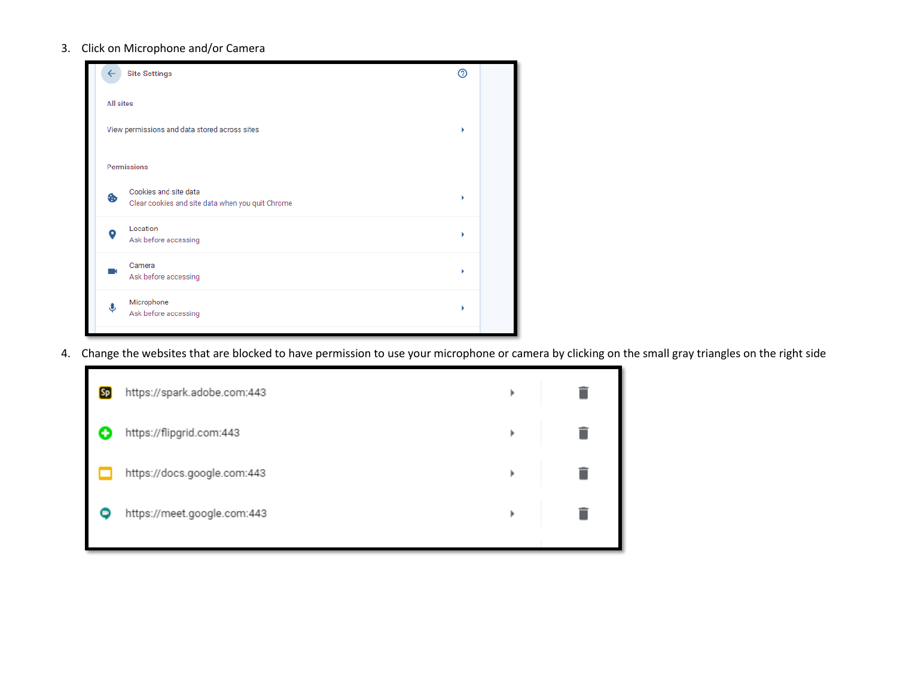#### 3. Click on Microphone and/or Camera



4. Change the websites that are blocked to have permission to use your microphone or camera by clicking on the small gray triangles on the right side

| <b>Sp</b> | https://spark.adobe.com:443 | r |  |
|-----------|-----------------------------|---|--|
| O         | https://flipgrid.com:443    | r |  |
|           | https://docs.google.com:443 | r |  |
|           | https://meet.google.com:443 | r |  |
|           |                             |   |  |